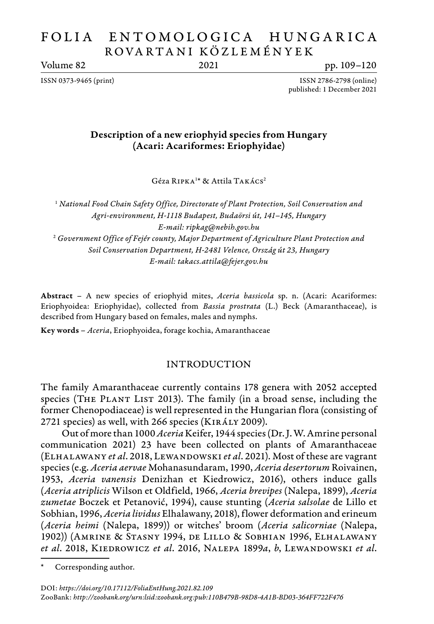# FOLIA ENTOMOLOGICA HUNGARICA ROVA RTA N I KÖZL E M É N Y E K

Volume 82 2021 pp. 109–120

ISSN 0373-9465 (print) ISSN 2786-2798 (online) published: 1 December 2021

# Description of a new eriophyid species from Hungary (Acari: Acariformes: Eriophyidae)

Géza RIPKA<sup>1\*</sup> & Attila TAKÁCS<sup>2</sup>

<sup>1</sup> *National Food Chain Safety Office, Directorate of Plant Protection, Soil Conservation and Agri-environment, H-1118 Budapest, Budaörsi út, 141–145, Hungary E-mail: ripkag@nebih.gov.hu* <sup>2</sup> *Government Office of Fejér county, Major Department of Agriculture Plant Protection and Soil Conservation Department, H-2481 Velence, Ország út 23, Hungary E-mail: takacs.attila@fejer.gov.hu*

Abstract – A new species of eriophyid mites, *Aceria bassicola* sp. n. (Acari: Acariformes: Eriophyoidea: Eriophyidae), collected from *Bassia prostrata* (L.) Beck (Amaranthaceae), is described from Hungary based on females, males and nymphs.

Key words – *Aceria*, Eriophyoidea, forage kochia, Amaranthaceae

## INTRODUCTION

The family Amaranthaceae currently contains 178 genera with 2052 accepted species (THE PLANT LIST 2013). The family (in a broad sense, including the former Chenopodiaceae) is well represented in the Hungarian flora (consisting of 2721 species) as well, with 266 species (Király 2009).

Out of more than 1000 *Aceria* Keifer, 1944 species (Dr. J. W. Amrine personal communication 2021) 23 have been collected on plants of Amaranthaceae (Elhalawany *et al*. 2018, Lewandowski *et al*. 2021). Most of these are vagrant species (e.g. *Aceria aervae* Mohanasundaram, 1990, *Aceria desertorum* Roivainen, 1953, *Aceria vanensis* Denizhan et Kiedrowicz, 2016), others induce galls (*Aceria atriplicis* Wilson et Oldfield, 1966, *Aceria brevipes* (Nalepa, 1899), *Aceria zumetae* Boczek et Petanović, 1994), cause stunting (*Aceria salsolae* de Lillo et Sobhian, 1996, *Aceria lividus* Elhalawany, 2018), flower deformation and erineum (*Aceria heimi* (Nalepa, 1899)) or witches' broom (*Aceria salicorniae* (Nalepa, 1902)) (Amrine & Stasny 1994, de Lillo & Sobhian 1996, Elhalawany *et al*. 2018, Kiedrowicz *et al*. 2016, Nalepa 1899*a*, *b*, Lewandowski *et al*.

Corresponding author.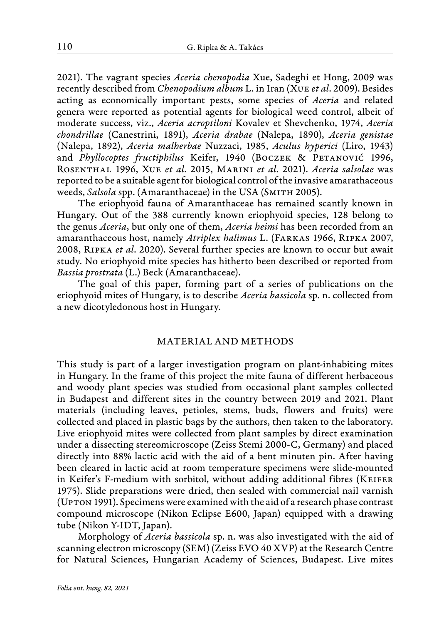2021). The vagrant species *Aceria chenopodia* Xue, Sadeghi et Hong, 2009 was recently described from *Chenopodium album* L. in Iran (Xue *et al*. 2009). Besides acting as economically important pests, some species of *Aceria* and related genera were reported as potential agents for biological weed control, albeit of moderate success, viz., *Aceria acroptiloni* Kovalev et Shevchenko, 1974, *Aceria chondrillae* (Canestrini, 1891), *Aceria drabae* (Nalepa, 1890), *Aceria genistae* (Nalepa, 1892), *Aceria malherbae* Nuzzaci, 1985, *Aculus hyperici* (Liro, 1943) and *Phyllocoptes fructiphilus* Keifer, 1940 (BOCZEK & PETANOVIĆ 1996, Rosenthal 1996, Xue *et al*. 2015, Marini *et al*. 2021). *Aceria salsolae* was reported to be a suitable agent for biological control of the invasive amarathaceous weeds, *Salsola* spp. (Amaranthaceae) in the USA (SMITH 2005).

The eriophyoid fauna of Amaranthaceae has remained scantly known in Hungary. Out of the 388 currently known eriophyoid species, 128 belong to the genus *Aceria*, but only one of them, *Aceria heimi* has been recorded from an amaranthaceous host, namely *Atriplex halimus* L. (Farkas 1966, Ripka 2007, 2008, Ripka *et al*. 2020). Several further species are known to occur but await study. No eriophyoid mite species has hitherto been described or reported from *Bassia prostrata* (L.) Beck (Amaranthaceae).

The goal of this paper, forming part of a series of publications on the eriophyoid mites of Hungary, is to describe *Aceria bassicola* sp. n. collected from a new dicotyledonous host in Hungary.

#### MATERIAL AND METHODS

This study is part of a larger investigation program on plant-inhabiting mites in Hungary. In the frame of this project the mite fauna of different herbaceous and woody plant species was studied from occasional plant samples collected in Budapest and different sites in the country between 2019 and 2021. Plant materials (including leaves, petioles, stems, buds, flowers and fruits) were collected and placed in plastic bags by the authors, then taken to the laboratory. Live eriophyoid mites were collected from plant samples by direct examination under a dissecting stereomicroscope (Zeiss Stemi 2000-C, Germany) and placed directly into 88% lactic acid with the aid of a bent minuten pin. After having been cleared in lactic acid at room temperature specimens were slide-mounted in Keifer's F-medium with sorbitol, without adding additional fibres (Keifer 1975). Slide preparations were dried, then sealed with commercial nail varnish (Upton 1991). Specimens were examined with the aid of a research phase contrast compound microscope (Nikon Eclipse E600, Japan) equipped with a drawing tube (Nikon Y-IDT, Japan).

Morphology of *Aceria bassicola* sp. n. was also investigated with the aid of scanning electron microscopy (SEM) (Zeiss EVO 40 XVP) at the Research Centre for Natural Sciences, Hungarian Academy of Sciences, Budapest. Live mites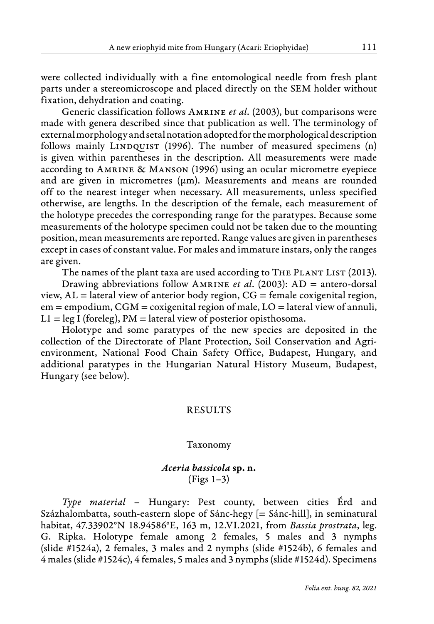were collected individually with a fine entomological needle from fresh plant parts under a stereomicroscope and placed directly on the SEM holder without fixation, dehydration and coating.

Generic classification follows Amrine *et al*. (2003), but comparisons were made with genera described since that publication as well. The terminology of external morphology and setal notation adopted for the morphological description follows mainly LINDQUIST (1996). The number of measured specimens (n) is given within parentheses in the description. All measurements were made according to Amrine & Manson (1996) using an ocular micrometre eyepiece and are given in micrometres ( $\mu$ m). Measurements and means are rounded off to the nearest integer when necessary. All measurements, unless specified otherwise, are lengths. In the description of the female, each measurement of the holotype precedes the corresponding range for the paratypes. Because some measurements of the holotype specimen could not be taken due to the mounting position, mean measurements are reported. Range values are given in parentheses except in cases of constant value. For males and immature instars, only the ranges are given.

The names of the plant taxa are used according to THE PLANT LIST (2013).

Drawing abbreviations follow Amrine *et al*. (2003): AD = antero-dorsal view,  $AL =$  lateral view of anterior body region,  $CG =$  female coxigenital region,  $em = \text{empodium}, \text{CGM} = \text{coxigenital region of male}, \text{LO} = \text{lateral view of annuli},$  $L1 = \text{leg } I \text{ (foreleg)}$ , PM = lateral view of posterior opisthosoma.

Holotype and some paratypes of the new species are deposited in the collection of the Directorate of Plant Protection, Soil Conservation and Agrienvironment, National Food Chain Safety Office, Budapest, Hungary, and additional paratypes in the Hungarian Natural History Museum, Budapest, Hungary (see below).

## RESULTS

### Taxonomy

## *Aceria bassicola* sp. n. (Figs 1–3)

*Type material –* Hungary: Pest county, between cities Érd and Százhalombatta, south-eastern slope of Sánc-hegy [= Sánc-hill], in seminatural habitat, 47.33902°N 18.94586°E, 163 m, 12.VI.2021, from *Bassia prostrata*, leg. G. Ripka. Holotype female among 2 females, 5 males and 3 nymphs (slide #1524a), 2 females, 3 males and 2 nymphs (slide #1524b), 6 females and 4 males (slide #1524c), 4 females, 5 males and 3 nymphs(slide #1524d). Specimens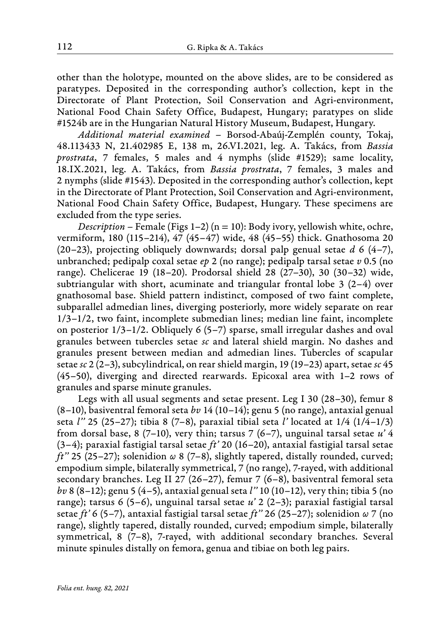other than the holotype, mounted on the above slides, are to be considered as paratypes. Deposited in the corresponding author's collection, kept in the Directorate of Plant Protection, Soil Conservation and Agri-environment, National Food Chain Safety Office, Budapest, Hungary; paratypes on slide #1524b are in the Hungarian Natural History Museum, Budapest, Hungary.

*Additional material examined –* Borsod-Abaúj-Zemplén county, Tokaj, 48.113433 N, 21.402985 E, 138 m, 26.VI.2021, leg. A. Takács, from *Bassia prostrata*, 7 females, 5 males and 4 nymphs (slide #1529); same locality, 18.IX.2021, leg. A. Takács, from *Bassia prostrata*, 7 females, 3 males and 2 nymphs (slide #1543). Deposited in the corresponding author's collection, kept in the Directorate of Plant Protection, Soil Conservation and Agri-environment, National Food Chain Safety Office, Budapest, Hungary. These specimens are excluded from the type series.

*Description –* Female (Figs 1–2) (n = 10): Body ivory, yellowish white, ochre, vermiform, 180 (115–214), 47 (45–47) wide, 48 (45–55) thick. Gnathosoma 20 (20–23), projecting obliquely downwards; dorsal palp genual setae *d* 6 (4–7), unbranched; pedipalp coxal setae *ep* 2 (no range); pedipalp tarsal setae *v* 0.5 (no range). Chelicerae 19 (18–20). Prodorsal shield 28 (27–30), 30 (30–32) wide, subtriangular with short, acuminate and triangular frontal lobe  $3(2-4)$  over gnathosomal base. Shield pattern indistinct, composed of two faint complete, subparallel admedian lines, diverging posteriorly, more widely separate on rear 1/3–1/2, two faint, incomplete submedian lines; median line faint, incomplete on posterior  $1/3-1/2$ . Obliquely 6 (5-7) sparse, small irregular dashes and oval granules between tubercles setae *sc* and lateral shield margin. No dashes and granules present between median and admedian lines. Tubercles of scapular setae *sc* 2 (2–3), subcylindrical, on rear shield margin, 19 (19–23) apart, setae *sc* 45 (45–50), diverging and directed rearwards. Epicoxal area with 1–2 rows of granules and sparse minute granules.

Legs with all usual segments and setae present. Leg I 30 (28–30), femur 8 (8–10), basiventral femoral seta *bv* 14 (10–14); genu 5 (no range), antaxial genual seta *l''* 25 (25–27); tibia 8 (7–8), paraxial tibial seta *l'* located at 1/4 (1/4–1/3) from dorsal base, 8 (7–10), very thin; tarsus 7 (6–7), unguinal tarsal setae *u'* 4 (3–4); paraxial fastigial tarsal setae *ft'* 20 (16–20), antaxial fastigial tarsal setae *ft''* 25 (25–27); solenidion *ω* 8 (7–8), slightly tapered, distally rounded, curved; empodium simple, bilaterally symmetrical, 7 (no range), 7-rayed, with additional secondary branches. Leg II 27 (26–27), femur 7 (6–8), basiventral femoral seta *bv* 8 (8–12); genu 5 (4–5), antaxial genual seta *l''* 10 (10–12), very thin; tibia 5 (no range); tarsus 6 (5–6), unguinal tarsal setae *u'* 2 (2–3); paraxial fastigial tarsal setae *ft'* 6 (5–7), antaxial fastigial tarsal setae *ft''* 26 (25–27); solenidion *ω* 7 (no range), slightly tapered, distally rounded, curved; empodium simple, bilaterally symmetrical, 8 (7–8), 7-rayed, with additional secondary branches. Several minute spinules distally on femora, genua and tibiae on both leg pairs.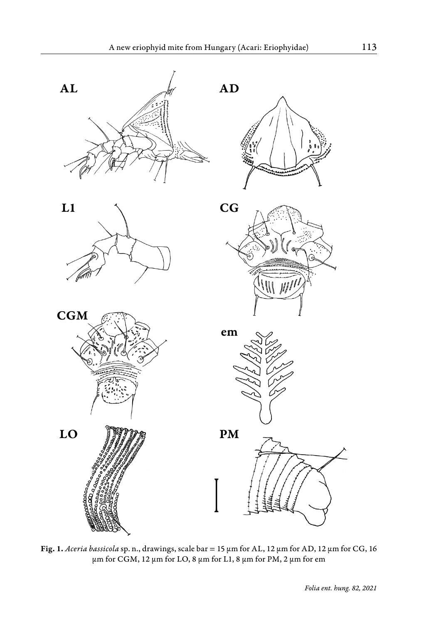

Fig. 1. *Aceria bassicola* sp. n., drawings, scale bar = 15 μm for AL, 12 μm for AD, 12 μm for CG, 16 μm for CGM, 12 μm for LO, 8 μm for L1, 8 μm for PM, 2 μm for em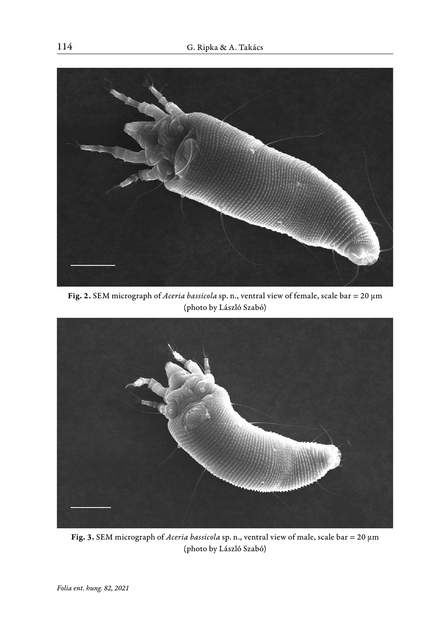

Fig. 2. SEM micrograph of *Aceria bassicola* sp. n., ventral view of female, scale bar = 20 μm (photo by László Szabó)



Fig. 3. SEM micrograph of *Aceria bassicola* sp. n., ventral view of male, scale bar = 20 μm (photo by László Szabó)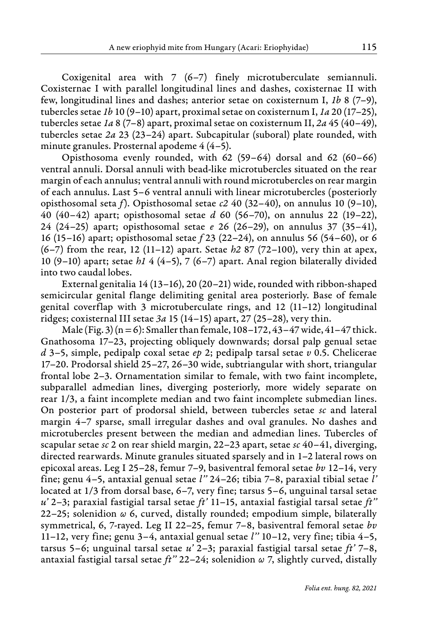Coxigenital area with 7 (6–7) finely microtuberculate semiannuli. Coxisternae I with parallel longitudinal lines and dashes, coxisternae II with few, longitudinal lines and dashes; anterior setae on coxisternum I, *1b* 8 (7–9), tubercles setae *1b* 10 (9–10) apart, proximal setae on coxisternum I, *1a* 20 (17–25), tubercles setae *1a* 8 (7–8) apart, proximal setae on coxisternum II, *2a* 45 (40–49), tubercles setae *2a* 23 (23–24) apart. Subcapitular (suboral) plate rounded, with minute granules. Prosternal apodeme 4 (4–5).

Opisthosoma evenly rounded, with 62 (59–64) dorsal and 62 (60–66) ventral annuli. Dorsal annuli with bead-like microtubercles situated on the rear margin of each annulus; ventral annuli with round microtubercles on rear margin of each annulus. Last 5–6 ventral annuli with linear microtubercles (posteriorly opisthosomal seta *f*). Opisthosomal setae *c2* 40 (32–40), on annulus 10 (9–10), 40 (40–42) apart; opisthosomal setae *d* 60 (56–70), on annulus 22 (19–22), 24 (24–25) apart; opisthosomal setae *e* 26 (26–29), on annulus 37 (35–41), 16 (15–16) apart; opisthosomal setae *f* 23 (22–24), on annulus 56 (54–60), or 6 (6–7) from the rear, 12 (11–12) apart. Setae *h2* 87 (72–100), very thin at apex, 10 (9–10) apart; setae *h1* 4 (4–5), 7 (6–7) apart. Anal region bilaterally divided into two caudal lobes.

External genitalia 14 (13–16), 20 (20–21) wide, rounded with ribbon-shaped semicircular genital flange delimiting genital area posteriorly. Base of female genital coverflap with 3 microtuberculate rings, and 12 (11–12) longitudinal ridges; coxisternal III setae *3a* 15 (14–15) apart, 27 (25–28), very thin.

Male (Fig. 3) ( $n = 6$ ): Smaller than female, 108-172, 43-47 wide, 41-47 thick. Gnathosoma 17–23, projecting obliquely downwards; dorsal palp genual setae *d* 3–5, simple, pedipalp coxal setae *ep* 2; pedipalp tarsal setae *v* 0.5. Chelicerae 17–20. Prodorsal shield 25–27, 26–30 wide, subtriangular with short, triangular frontal lobe 2–3. Ornamentation similar to female, with two faint incomplete, subparallel admedian lines, diverging posteriorly, more widely separate on rear 1/3, a faint incomplete median and two faint incomplete submedian lines. On posterior part of prodorsal shield, between tubercles setae *sc* and lateral margin 4–7 sparse, small irregular dashes and oval granules. No dashes and microtubercles present between the median and admedian lines. Tubercles of scapular setae *sc* 2 on rear shield margin, 22–23 apart, setae *sc* 40–41, diverging, directed rearwards. Minute granules situated sparsely and in 1–2 lateral rows on epicoxal areas. Leg I 25–28, femur 7–9, basiventral femoral setae *bv* 12–14, very fine; genu 4–5, antaxial genual setae *l''* 24–26; tibia 7–8, paraxial tibial setae *l'* located at 1/3 from dorsal base, 6–7, very fine; tarsus 5–6, unguinal tarsal setae *u'* 2–3; paraxial fastigial tarsal setae *ft'* 11–15, antaxial fastigial tarsal setae *ft''*  22–25; solenidion *ω* 6, curved, distally rounded; empodium simple, bilaterally symmetrical, 6, 7-rayed. Leg II 22–25, femur 7–8, basiventral femoral setae *bv* 11–12, very fine; genu 3–4, antaxial genual setae *l''* 10–12, very fine; tibia 4–5, tarsus 5–6; unguinal tarsal setae *u'* 2–3; paraxial fastigial tarsal setae *ft'* 7–8, antaxial fastigial tarsal setae *ft''* 22–24; solenidion *ω* 7, slightly curved, distally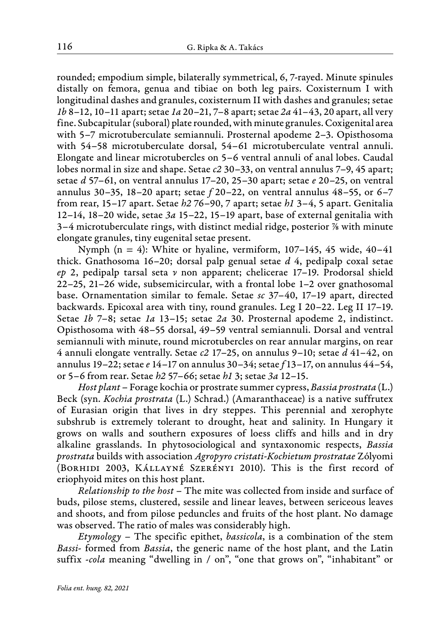rounded; empodium simple, bilaterally symmetrical, 6, 7-rayed. Minute spinules distally on femora, genua and tibiae on both leg pairs. Coxisternum I with longitudinal dashes and granules, coxisternum II with dashes and granules; setae *1b* 8–12, 10–11 apart; setae *1a* 20–21, 7–8 apart; setae *2a* 41–43, 20 apart, all very fine. Subcapitular (suboral) plate rounded, with minute granules. Coxigenital area with 5–7 microtuberculate semiannuli. Prosternal apodeme 2–3. Opisthosoma with 54–58 microtuberculate dorsal, 54–61 microtuberculate ventral annuli. Elongate and linear microtubercles on 5–6 ventral annuli of anal lobes. Caudal lobes normal in size and shape. Setae *c2* 30–33, on ventral annulus 7–9, 45 apart; setae *d* 57–61, on ventral annulus 17–20, 25–30 apart; setae *e* 20–25, on ventral annulus 30–35, 18–20 apart; setae *f* 20–22, on ventral annulus 48–55, or 6–7 from rear, 15–17 apart. Setae *h2* 76–90, 7 apart; setae *h1* 3–4, 5 apart. Genitalia 12–14, 18–20 wide, setae *3a* 15–22, 15–19 apart, base of external genitalia with 3–4 microtuberculate rings, with distinct medial ridge, posterior ⅞ with minute elongate granules, tiny eugenital setae present.

Nymph  $(n = 4)$ : White or hyaline, vermiform, 107–145, 45 wide, 40–41 thick. Gnathosoma 16–20; dorsal palp genual setae *d* 4, pedipalp coxal setae *ep* 2, pedipalp tarsal seta *ν* non apparent; chelicerae 17–19. Prodorsal shield 22–25, 21–26 wide, subsemicircular, with a frontal lobe 1–2 over gnathosomal base. Ornamentation similar to female. Setae *sc* 37–40, 17–19 apart, directed backwards. Epicoxal area with tiny, round granules. Leg I 20–22. Leg II 17–19. Setae *1b* 7–8; setae *1a* 13–15; setae *2a* 30. Prosternal apodeme 2, indistinct. Opisthosoma with 48–55 dorsal, 49–59 ventral semiannuli. Dorsal and ventral semiannuli with minute, round microtubercles on rear annular margins, on rear 4 annuli elongate ventrally. Setae *c2* 17–25, on annulus 9–10; setae *d* 41–42, on annulus 19–22; setae *e* 14–17 on annulus 30–34; setae *f* 13–17, on annulus 44–54, or 5–6 from rear. Setae *h2* 57–66; setae *h1* 3; setae *3a* 12–15.

*Host plant* – Forage kochia or prostrate summer cypress, *Bassia prostrata* (L.) Beck (syn. *Kochia prostrata* (L.) Schrad.) (Amaranthaceae) is a native suffrutex of Eurasian origin that lives in dry steppes. This perennial and xerophyte subshrub is extremely tolerant to drought, heat and salinity. In Hungary it grows on walls and southern exposures of loess cliffs and hills and in dry alkaline grasslands. In phytosociological and syntaxonomic respects, *Bassia prostrata* builds with association *Agropyro cristati-Kochietum prostratae* Zólyomi (Borhidi 2003, Kállayné Szerényi 2010). This is the first record of eriophyoid mites on this host plant.

*Relationship to the host* – The mite was collected from inside and surface of buds, pilose stems, clustered, sessile and linear leaves, between sericeous leaves and shoots, and from pilose peduncles and fruits of the host plant. No damage was observed. The ratio of males was considerably high.

*Etymology –* The specific epithet, *bassicola*, is a combination of the stem *Bassi*- formed from *Bassia*, the generic name of the host plant, and the Latin suffix -*cola* meaning "dwelling in / on", "one that grows on", "inhabitant" or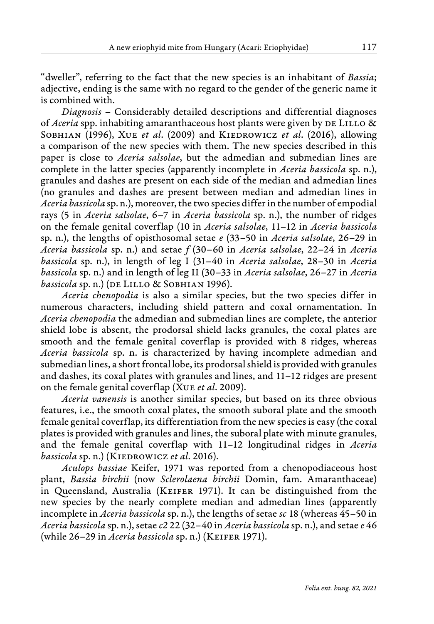"dweller", referring to the fact that the new species is an inhabitant of *Bassia*; adjective, ending is the same with no regard to the gender of the generic name it is combined with.

*Diagnosis –* Considerably detailed descriptions and differential diagnoses of *Aceria* spp. inhabiting amaranthaceous host plants were given by DE LILLO & SOBHIAN (1996), XUE *et al.* (2009) and KIEDROWICZ *et al.* (2016), allowing a comparison of the new species with them. The new species described in this paper is close to *Aceria salsolae*, but the admedian and submedian lines are complete in the latter species (apparently incomplete in *Aceria bassicola* sp. n.), granules and dashes are present on each side of the median and admedian lines (no granules and dashes are present between median and admedian lines in *Aceria bassicola* sp. n.), moreover, the two species differ in the number of empodial rays (5 in *Aceria salsolae*, 6–7 in *Aceria bassicola* sp. n.), the number of ridges on the female genital coverflap (10 in *Aceria salsolae*, 11–12 in *Aceria bassicola* sp. n.), the lengths of opisthosomal setae *e* (33–50 in *Aceria salsolae*, 26–29 in *Aceria bassicola* sp. n.) and setae *f* (30–60 in *Aceria salsolae*, 22–24 in *Aceria bassicola* sp. n.), in length of leg I (31–40 in *Aceria salsolae*, 28–30 in *Aceria bassicola* sp. n.) and in length of leg II (30–33 in *Aceria salsolae*, 26–27 in *Aceria* bassicola sp. n.) (DE LILLO & SOBHIAN 1996).

*Aceria chenopodia* is also a similar species, but the two species differ in numerous characters, including shield pattern and coxal ornamentation. In *Aceria chenopodia* the admedian and submedian lines are complete, the anterior shield lobe is absent, the prodorsal shield lacks granules, the coxal plates are smooth and the female genital coverflap is provided with 8 ridges, whereas *Aceria bassicola* sp. n. is characterized by having incomplete admedian and submedian lines, a short frontal lobe, its prodorsal shield is provided with granules and dashes, its coxal plates with granules and lines, and 11–12 ridges are present on the female genital coverflap (Xue *et al*. 2009).

*Aceria vanensis* is another similar species, but based on its three obvious features, i.e., the smooth coxal plates, the smooth suboral plate and the smooth female genital coverflap, its differentiation from the new species is easy (the coxal plates is provided with granules and lines, the suboral plate with minute granules, and the female genital coverflap with 11–12 longitudinal ridges in *Aceria bassicola* sp. n.) (KIEDROWICZ *et al.* 2016).

*Aculops bassiae* Keifer, 1971 was reported from a chenopodiaceous host plant, *Bassia birchii* (now *Sclerolaena birchii* Domin, fam. Amaranthaceae) in Queensland, Australia (Keifer 1971). It can be distinguished from the new species by the nearly complete median and admedian lines (apparently incomplete in *Aceria bassicola* sp. n.), the lengths of setae *sc* 18 (whereas 45–50 in *Aceria bassicola* sp. n.), setae *c2* 22 (32–40 in *Aceria bassicola* sp. n.), and setae *e* 46 (while 26–29 in *Aceria bassicola* sp. n.) (Keifer 1971).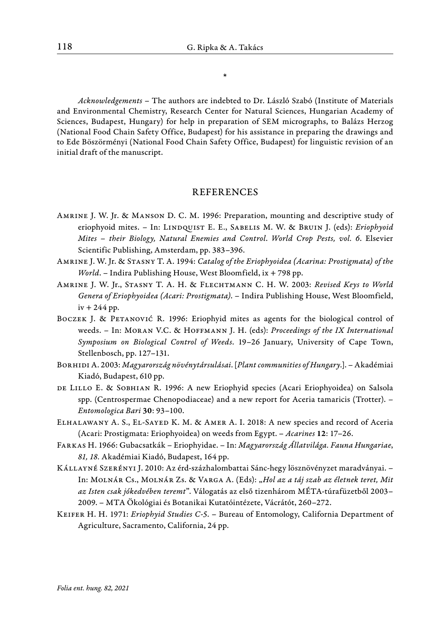\*

*Acknowledgements* – The authors are indebted to Dr. László Szabó (Institute of Materials and Environmental Chemistry, Research Center for Natural Sciences, Hungarian Academy of Sciences, Budapest, Hungary) for help in preparation of SEM micrographs, to Balázs Herzog (National Food Chain Safety Office, Budapest) for his assistance in preparing the drawings and to Ede Böszörményi (National Food Chain Safety Office, Budapest) for linguistic revision of an initial draft of the manuscript.

#### REFERENCES

- Amrine J. W. Jr. & Manson D. C. M. 1996: Preparation, mounting and descriptive study of eriophyoid mites. - In: LINDQUIST E. E., SABELIS M. W. & BRUIN J. (eds): *Eriophyoid Mites – their Biology, Natural Enemies and Control*. *World Crop Pests, vol. 6*. Elsevier Scientific Publishing, Amsterdam, pp. 383–396.
- Amrine J. W. Jr. & Stasny T. A. 1994: *Catalog of the Eriophyoidea (Acarina: Prostigmata) of the World*. *–* Indira Publishing House, West Bloomfield, ix + 798 pp.
- Amrine J. W. Jr., Stasny T. A. H. & Flechtmann C. H. W. 2003: *Revised Keys to World Genera of Eriophyoidea (Acari: Prostigmata)*. *–* Indira Publishing House, West Bloomfield,  $iv + 244$  pp.
- Boczek J. & Petanović R. 1996: Eriophyid mites as agents for the biological control of weeds. *–* In: Moran V.C. & Hoffmann J. H. (eds): *Proceedings of the IX International Symposium on Biological Control of Weeds*. 19–26 January, University of Cape Town, Stellenbosch, pp. 127–131.
- Borhidi A. 2003: *Magyarország növénytársulásai*. [*Plant communities of Hungary*.]. Akadémiai Kiadó, Budapest, 610 pp.
- DE LILLO E. & SOBHIAN R. 1996: A new Eriophyid species (Acari Eriophyoidea) on Salsola spp. (Centrospermae Chenopodiaceae) and a new report for Aceria tamaricis (Trotter). *– Entomologica Bari* 30: 93–100.
- Elhalawany A. S., El-Sayed K. M. & Amer A. I. 2018: A new species and record of Aceria (Acari: Prostigmata: Eriophyoidea) on weeds from Egypt. – *Acarines* 12: 17–26.
- Farkas H. 1966: Gubacsatkák *–* Eriophyidae. In: *Magyarország Állatvilága. Fauna Hungariae*, *81, 18.* Akadémiai Kiadó, Budapest, 164 pp.
- Kállayné Szerényi J. 2010: Az érd-százhalombattai Sánc-hegy lösznövényzet maradványai.  In: Molnár Cs., Molnár Zs. & Varga A. (Eds): "*Hol az a táj szab az életnek teret, Mit az Isten csak jókedvében teremt*". Válogatás az első tizenhárom MÉTA-túrafüzetből 2003– 2009. *–* MTA Ökológiai és Botanikai Kutatóintézete, Vácrátót, 260–272.
- Keifer H. H. 1971: *Eriophyid Studies C-5*. Bureau of Entomology, California Department of Agriculture, Sacramento, California, 24 pp.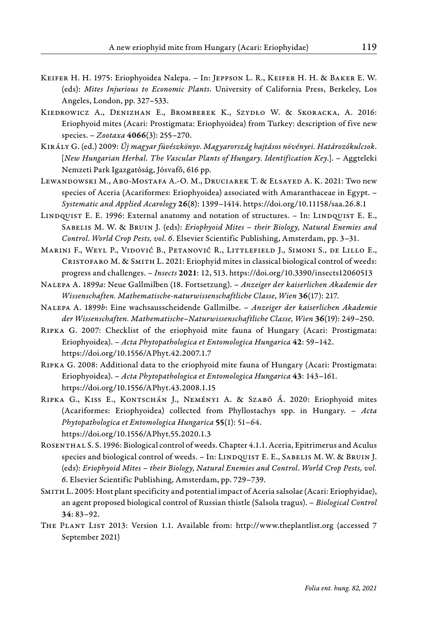- Keifer H. H. 1975: Eriophyoidea Nalepa. In: Jeppson L. R., Keifer H. H. & Baker E. W. (eds): *Mites Injurious to Economic Plants*. University of California Press, Berkeley, Los Angeles, London, pp. 327–533.
- Kiedrowicz A., Denizhan E., Bromberek K., Szydło W. & Skoracka, A. 2016: Eriophyoid mites (Acari: Prostigmata: Eriophyoidea) from Turkey: description of five new species. – *Zootaxa* 4066(3): 255–270.
- Király G. (ed.) 2009: *Új magyar füvészkönyv. Magyarország hajtásos növényei. Határozókulcsok*. [*New Hungarian Herbal. The Vascular Plants of Hungary. Identification Key*.]. *–* Aggteleki Nemzeti Park Igazgatóság, Jósvafő, 616 pp.
- Lewandowski M., Abo-Mostafa A.-O. M., Druciarek T. & Elsayed A. K. 2021: Two new species of Aceria (Acariformes: Eriophyoidea) associated with Amaranthaceae in Egypt. *– Systematic and Applied Acarology* 26(8): 1399–1414. https://doi.org/10.11158/saa.26.8.1
- LINDQUIST E. E. 1996: External anatomy and notation of structures. In: LINDQUIST E. E., Sabelis M. W. & Bruin J. (eds): *Eriophyoid Mites – their Biology, Natural Enemies and Control*. *World Crop Pests, vol. 6*. Elsevier Scientific Publishing, Amsterdam, pp. 3–31.
- Marini F., Weyl P., Vidović B., Petanović R., Littlefield J., Simoni S., de Lillo E., Cristofaro M. & Smith L. 2021: Eriophyid mites in classical biological control of weeds: progress and challenges. *– Insects* 2021: 12, 513. https://doi.org/10.3390/insects12060513

Nalepa A. 1899*a*: Neue Gallmilben (18. Fortsetzung). *– Anzeiger der kaiserlichen Akademie der Wissenschaften. Mathematische-naturwissenschaftliche Classe*, *Wien* 36(17): 217.

- Nalepa A. 1899*b*: Eine wachsausscheidende Gallmilbe.  *Anzeiger der kaiserlichen Akademie der Wissenschaften. Mathematische–Naturwissenschaftliche Classe, Wien* 36(19): 249–250.
- Ripka G. 2007: Checklist of the eriophyoid mite fauna of Hungary (Acari: Prostigmata: Eriophyoidea). *– Acta Phytopathologica et Entomologica Hungarica* 42: 59–142. https://doi.org/10.1556/APhyt.42.2007.1.7
- Ripka G. 2008: Additional data to the eriophyoid mite fauna of Hungary (Acari: Prostigmata: Eriophyoidea). *– Acta Phytopathologica et Entomologica Hungarica* 43: 143–161. https://doi.org/10.1556/APhyt.43.2008.1.15
- Ripka G., Kiss E., Kontschán J., Neményi A. & Szabó Á. 2020: Eriophyoid mites (Acariformes: Eriophyoidea) collected from Phyllostachys spp. in Hungary. *– Acta Phytopathologica et Entomologica Hungarica* 55(1): 51–64. https://doi.org/10.1556/APhyt.55.2020.1.3
- Rosenthal S. S. 1996: Biological control of weeds. Chapter 4.1.1. Aceria, Epitrimerus and Aculus species and biological control of weeds. - In: LINDQUIST E. E., SABELIS M. W. & BRUIN J. (eds): *Eriophyoid Mites – their Biology, Natural Enemies and Control*. *World Crop Pests, vol. 6*. Elsevier Scientific Publishing, Amsterdam, pp. 729–739.
- Smith L. 2005: Host plant specificity and potential impact of Aceria salsolae (Acari: Eriophyidae), an agent proposed biological control of Russian thistle (Salsola tragus). *– Biological Control* 34: 83–92.
- The Plant List 2013: Version 1.1. Available from: http://www.theplantlist.org (accessed 7 September 2021)